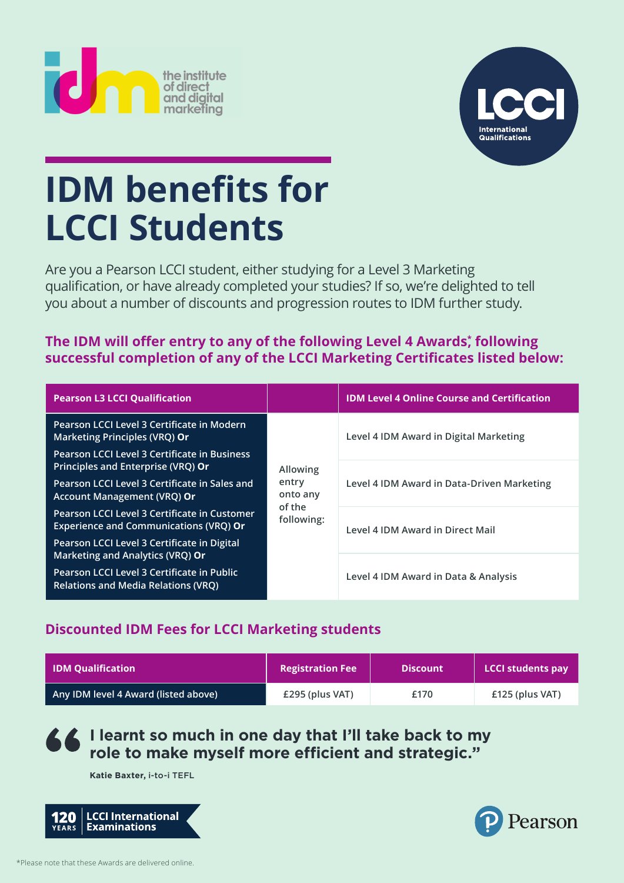



## **IDM benefits for LCCI Students**

Are you a Pearson LCCI student, either studying for a Level 3 Marketing qualification, or have already completed your studies? If so, we're delighted to tell you about a number of discounts and progression routes to IDM further study.

#### **The IDM will offer entry to any of the following Level 4 Awards** $^*$  **following** successful completion of any of the LCCI Marketing Certificates listed below:

| <b>Pearson L3 LCCI Qualification</b>                                                          |                                                       | <b>IDM Level 4 Online Course and Certification</b> |  |
|-----------------------------------------------------------------------------------------------|-------------------------------------------------------|----------------------------------------------------|--|
| Pearson LCCI Level 3 Certificate in Modern<br><b>Marketing Principles (VRQ) Or</b>            | Allowing<br>entry<br>onto any<br>of the<br>following: | Level 4 IDM Award in Digital Marketing             |  |
| Pearson LCCI Level 3 Certificate in Business                                                  |                                                       |                                                    |  |
| Principles and Enterprise (VRQ) Or                                                            |                                                       | Level 4 IDM Award in Data-Driven Marketing         |  |
| Pearson LCCI Level 3 Certificate in Sales and<br>Account Management (VRQ) Or                  |                                                       |                                                    |  |
| Pearson LCCI Level 3 Certificate in Customer<br><b>Experience and Communications (VRQ) Or</b> |                                                       | Level 4 IDM Award in Direct Mail                   |  |
| Pearson LCCI Level 3 Certificate in Digital                                                   |                                                       |                                                    |  |
| Marketing and Analytics (VRQ) Or                                                              |                                                       |                                                    |  |
| Pearson LCCI Level 3 Certificate in Public<br><b>Relations and Media Relations (VRQ)</b>      |                                                       | Level 4 IDM Award in Data & Analysis               |  |

#### **Discounted IDM Fees for LCCI Marketing students**

| <b>IDM Qualification</b>             | <b>Registration Fee</b> | <b>Discount</b> | <b>LCCI students pay</b> |
|--------------------------------------|-------------------------|-----------------|--------------------------|
| Any IDM level 4 Award (listed above) | £295 (plus VAT)         | £170            | $£125$ (plus VAT)        |

### **I learnt so much in one day that I'll take back to my** role to make myself more efficient and strategic."

**Katie Baxter,** i-to-i TEFL